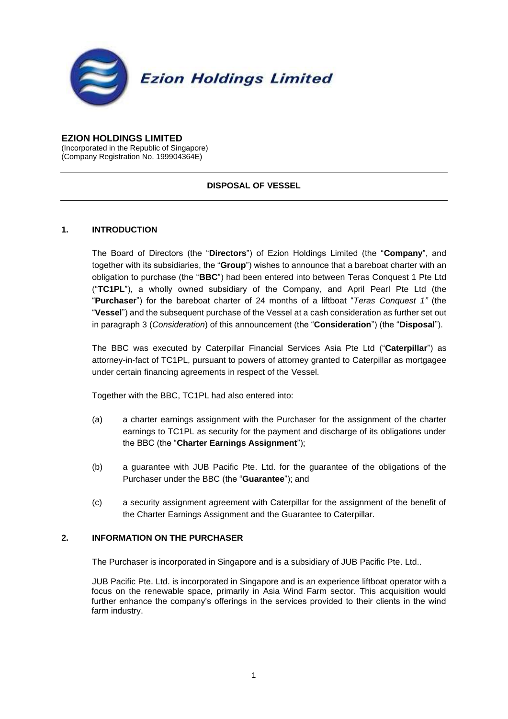

#### **EZION HOLDINGS LIMITED**

(Incorporated in the Republic of Singapore) (Company Registration No. 199904364E)

# **DISPOSAL OF VESSEL**

### **1. INTRODUCTION**

The Board of Directors (the "**Directors**") of Ezion Holdings Limited (the "**Company**", and together with its subsidiaries, the "**Group**") wishes to announce that a bareboat charter with an obligation to purchase (the "**BBC**") had been entered into between Teras Conquest 1 Pte Ltd ("**TC1PL**"), a wholly owned subsidiary of the Company, and April Pearl Pte Ltd (the "**Purchaser**") for the bareboat charter of 24 months of a liftboat "*Teras Conquest 1"* (the "**Vessel**") and the subsequent purchase of the Vessel at a cash consideration as further set out in paragraph [3](#page-1-0) (*Consideration*) of this announcement (the "**Consideration**") (the "**Disposal**").

The BBC was executed by Caterpillar Financial Services Asia Pte Ltd ("**Caterpillar**") as attorney-in-fact of TC1PL, pursuant to powers of attorney granted to Caterpillar as mortgagee under certain financing agreements in respect of the Vessel.

Together with the BBC, TC1PL had also entered into:

- (a) a charter earnings assignment with the Purchaser for the assignment of the charter earnings to TC1PL as security for the payment and discharge of its obligations under the BBC (the "**Charter Earnings Assignment**");
- (b) a guarantee with JUB Pacific Pte. Ltd. for the guarantee of the obligations of the Purchaser under the BBC (the "**Guarantee**"); and
- (c) a security assignment agreement with Caterpillar for the assignment of the benefit of the Charter Earnings Assignment and the Guarantee to Caterpillar.

# **2. INFORMATION ON THE PURCHASER**

The Purchaser is incorporated in Singapore and is a subsidiary of JUB Pacific Pte. Ltd..

JUB Pacific Pte. Ltd. is incorporated in Singapore and is an experience liftboat operator with a focus on the renewable space, primarily in Asia Wind Farm sector. This acquisition would further enhance the company's offerings in the services provided to their clients in the wind farm industry.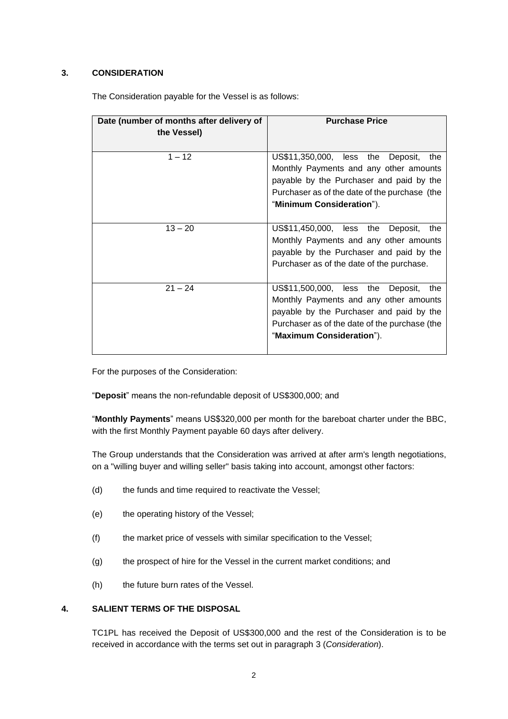# <span id="page-1-0"></span>**3. CONSIDERATION**

| Date (number of months after delivery of | <b>Purchase Price</b>                         |
|------------------------------------------|-----------------------------------------------|
| the Vessel)                              |                                               |
|                                          |                                               |
| $1 - 12$                                 | US\$11,350,000, less the<br>Deposit,<br>the   |
|                                          | Monthly Payments and any other amounts        |
|                                          | payable by the Purchaser and paid by the      |
|                                          | Purchaser as of the date of the purchase (the |
|                                          | "Minimum Consideration").                     |
|                                          |                                               |
| $13 - 20$                                | US\$11,450,000, less the<br>Deposit,<br>the   |
|                                          | Monthly Payments and any other amounts        |
|                                          | payable by the Purchaser and paid by the      |
|                                          | Purchaser as of the date of the purchase.     |
|                                          |                                               |
| $21 - 24$                                | US\$11,500,000, less the<br>Deposit,<br>the   |
|                                          | Monthly Payments and any other amounts        |
|                                          | payable by the Purchaser and paid by the      |
|                                          | Purchaser as of the date of the purchase (the |
|                                          | "Maximum Consideration").                     |
|                                          |                                               |

The Consideration payable for the Vessel is as follows:

For the purposes of the Consideration:

"**Deposit**" means the non-refundable deposit of US\$300,000; and

"**Monthly Payments**" means US\$320,000 per month for the bareboat charter under the BBC, with the first Monthly Payment payable 60 days after delivery.

The Group understands that the Consideration was arrived at after arm's length negotiations, on a "willing buyer and willing seller" basis taking into account, amongst other factors:

- (d) the funds and time required to reactivate the Vessel;
- (e) the operating history of the Vessel;
- (f) the market price of vessels with similar specification to the Vessel;
- (g) the prospect of hire for the Vessel in the current market conditions; and
- (h) the future burn rates of the Vessel.

# **4. SALIENT TERMS OF THE DISPOSAL**

TC1PL has received the Deposit of US\$300,000 and the rest of the Consideration is to be received in accordance with the terms set out in paragraph [3](#page-1-0) (*Consideration*).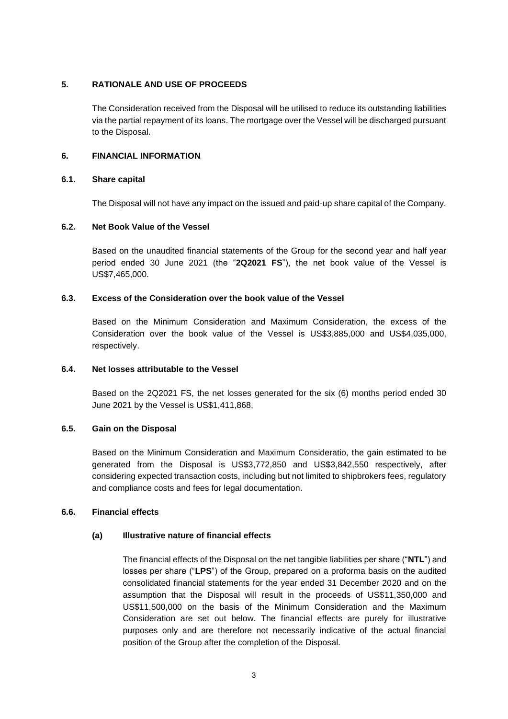## **5. RATIONALE AND USE OF PROCEEDS**

The Consideration received from the Disposal will be utilised to reduce its outstanding liabilities via the partial repayment of its loans. The mortgage over the Vessel will be discharged pursuant to the Disposal.

## **6. FINANCIAL INFORMATION**

## **6.1. Share capital**

The Disposal will not have any impact on the issued and paid-up share capital of the Company.

# **6.2. Net Book Value of the Vessel**

Based on the unaudited financial statements of the Group for the second year and half year period ended 30 June 2021 (the "**2Q2021 FS**"), the net book value of the Vessel is US\$7,465,000.

# **6.3. Excess of the Consideration over the book value of the Vessel**

Based on the Minimum Consideration and Maximum Consideration, the excess of the Consideration over the book value of the Vessel is US\$3,885,000 and US\$4,035,000, respectively.

### **6.4. Net losses attributable to the Vessel**

Based on the 2Q2021 FS, the net losses generated for the six (6) months period ended 30 June 2021 by the Vessel is US\$1,411,868.

### **6.5. Gain on the Disposal**

Based on the Minimum Consideration and Maximum Consideratio, the gain estimated to be generated from the Disposal is US\$3,772,850 and US\$3,842,550 respectively, after considering expected transaction costs, including but not limited to shipbrokers fees, regulatory and compliance costs and fees for legal documentation.

### **6.6. Financial effects**

# **(a) Illustrative nature of financial effects**

The financial effects of the Disposal on the net tangible liabilities per share ("**NTL**") and losses per share ("**LPS**") of the Group, prepared on a proforma basis on the audited consolidated financial statements for the year ended 31 December 2020 and on the assumption that the Disposal will result in the proceeds of US\$11,350,000 and US\$11,500,000 on the basis of the Minimum Consideration and the Maximum Consideration are set out below. The financial effects are purely for illustrative purposes only and are therefore not necessarily indicative of the actual financial position of the Group after the completion of the Disposal.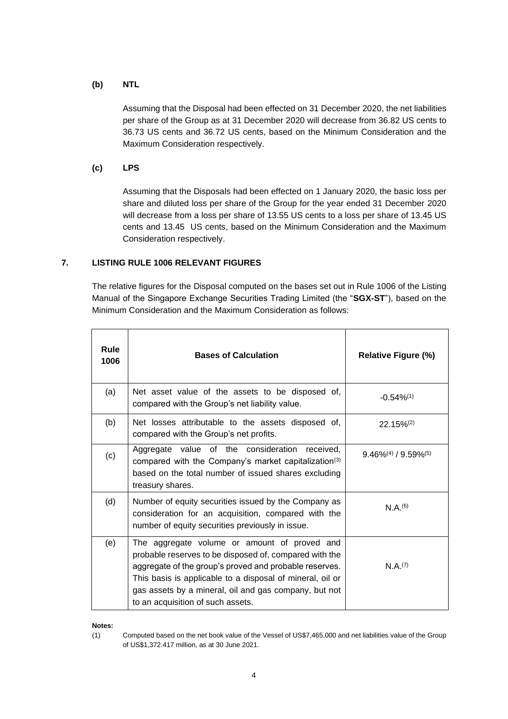### **(b) NTL**

Assuming that the Disposal had been effected on 31 December 2020, the net liabilities per share of the Group as at 31 December 2020 will decrease from 36.82 US cents to 36.73 US cents and 36.72 US cents, based on the Minimum Consideration and the Maximum Consideration respectively.

## **(c) LPS**

Assuming that the Disposals had been effected on 1 January 2020, the basic loss per share and diluted loss per share of the Group for the year ended 31 December 2020 will decrease from a loss per share of 13.55 US cents to a loss per share of 13.45 US cents and 13.45 US cents, based on the Minimum Consideration and the Maximum Consideration respectively.

# **7. LISTING RULE 1006 RELEVANT FIGURES**

The relative figures for the Disposal computed on the bases set out in Rule 1006 of the Listing Manual of the Singapore Exchange Securities Trading Limited (the "**SGX-ST**"), based on the Minimum Consideration and the Maximum Consideration as follows:

| <b>Rule</b><br>1006 | <b>Bases of Calculation</b>                                                                                                                                                                                                                                                                                                 | <b>Relative Figure (%)</b> |
|---------------------|-----------------------------------------------------------------------------------------------------------------------------------------------------------------------------------------------------------------------------------------------------------------------------------------------------------------------------|----------------------------|
| (a)                 | Net asset value of the assets to be disposed of,<br>compared with the Group's net liability value.                                                                                                                                                                                                                          | $-0.54\%^{(1)}$            |
| (b)                 | Net losses attributable to the assets disposed of,<br>compared with the Group's net profits.                                                                                                                                                                                                                                | $22.15\%^{(2)}$            |
| (c)                 | Aggregate value of the consideration<br>received.<br>compared with the Company's market capitalization <sup>(3)</sup><br>based on the total number of issued shares excluding<br>treasury shares.                                                                                                                           | $9.46\%/4) / 9.59\%/5)$    |
| (d)                 | Number of equity securities issued by the Company as<br>consideration for an acquisition, compared with the<br>number of equity securities previously in issue.                                                                                                                                                             | N.A.(6)                    |
| (e)                 | The aggregate volume or amount of proved and<br>probable reserves to be disposed of, compared with the<br>aggregate of the group's proved and probable reserves.<br>This basis is applicable to a disposal of mineral, oil or<br>gas assets by a mineral, oil and gas company, but not<br>to an acquisition of such assets. | N.A.(7)                    |

**Notes:**

(1) Computed based on the net book value of the Vessel of US\$7,465,000 and net liabilities value of the Group of US\$1,372.417 million, as at 30 June 2021.